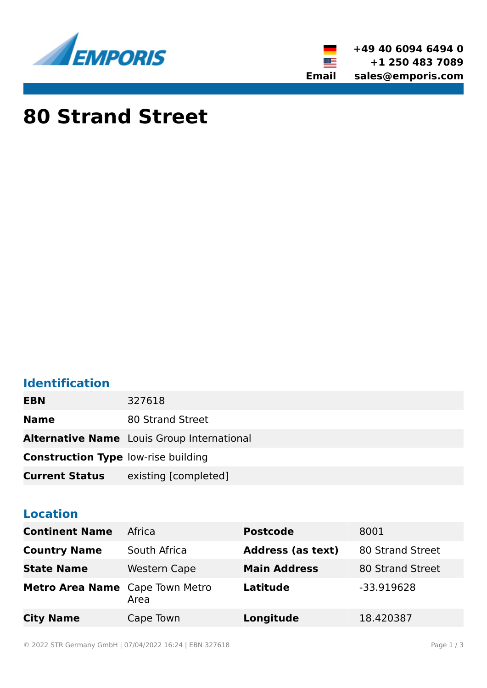



# **80 Strand Street**

### **Identification**

| <b>EBN</b>                                 | 327618                                            |
|--------------------------------------------|---------------------------------------------------|
| <b>Name</b>                                | 80 Strand Street                                  |
|                                            | <b>Alternative Name</b> Louis Group International |
| <b>Construction Type low-rise building</b> |                                                   |
| <b>Current Status</b>                      | existing [completed]                              |

### **Location**

| <b>Continent Name</b>                  | Africa              | <b>Postcode</b>          | 8001             |
|----------------------------------------|---------------------|--------------------------|------------------|
| <b>Country Name</b>                    | South Africa        | <b>Address (as text)</b> | 80 Strand Street |
| <b>State Name</b>                      | <b>Western Cape</b> | <b>Main Address</b>      | 80 Strand Street |
| <b>Metro Area Name</b> Cape Town Metro | Area                | <b>Latitude</b>          | $-33.919628$     |
| <b>City Name</b>                       | Cape Town           | Longitude                | 18.420387        |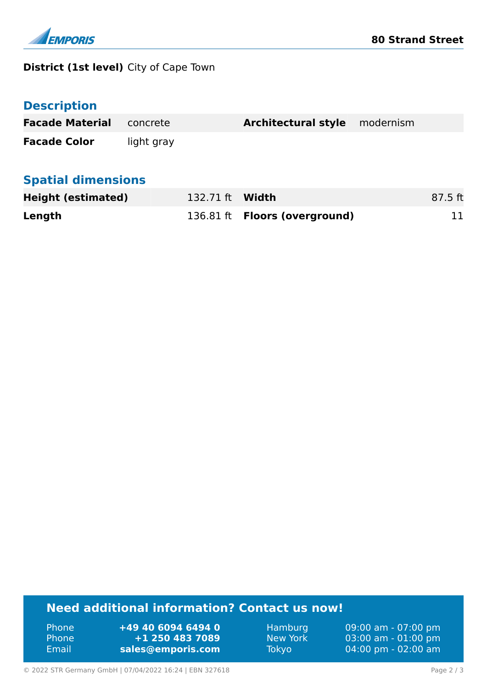

#### **District (1st level)** City of Cape Town

### **Description**

| <b>Facade Material</b> concrete |            | <b>Architectural style</b> modernism |  |
|---------------------------------|------------|--------------------------------------|--|
| <b>Facade Color</b>             | light gray |                                      |  |

### **Spatial dimensions**

| <b>Height (estimated)</b> | 132.71 ft <b>Width</b> |                                      | 87.5 ft |
|---------------------------|------------------------|--------------------------------------|---------|
| Length                    |                        | 136.81 ft <b>Floors (overground)</b> |         |

### **Need additional information? Contact us now!**

Phone **+49 40 6094 6494 0** Phone **+1 250 483 7089** Email **<sales@emporis.com>**

Hamburg 09:00 am - 07:00 pm New York 03:00 am - 01:00 pm Tokyo 04:00 pm - 02:00 am